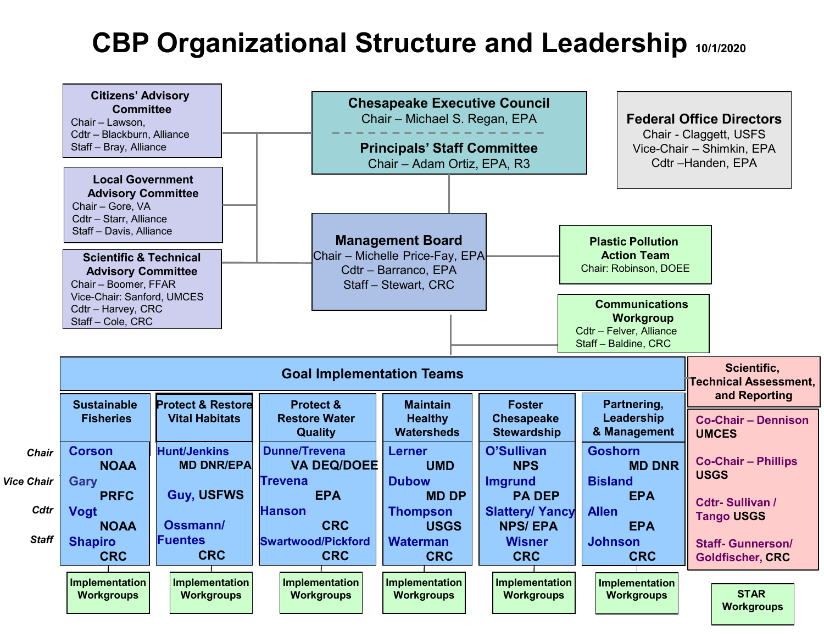### CBP Organizational Structure and Leadership 10/1/2020

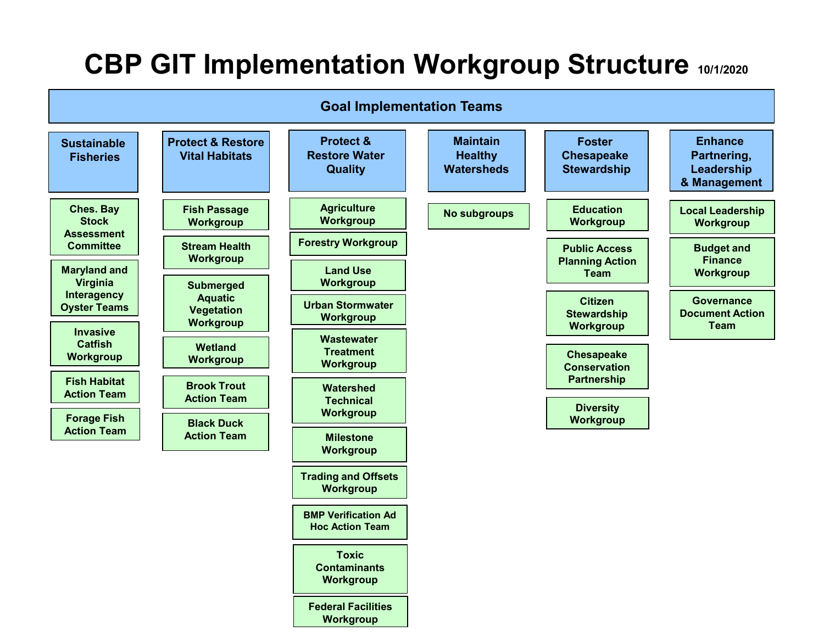## CBP GIT Implementation Workgroup Structure 10/1/2020

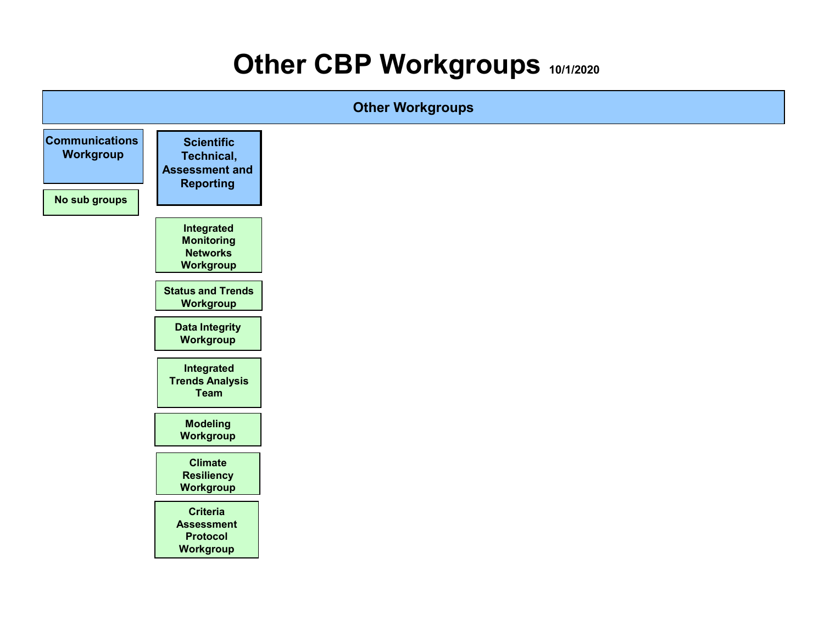#### Other CBP Workgroups 10/1/2020

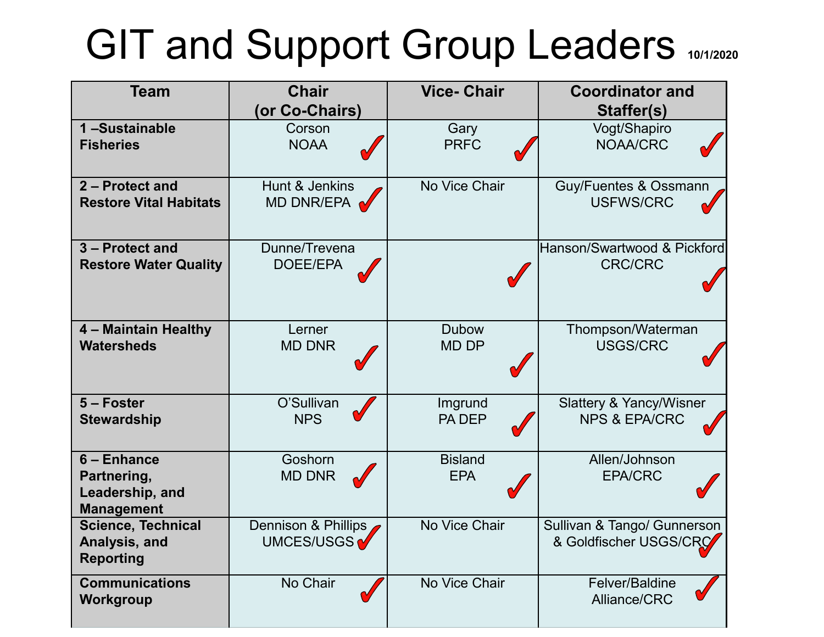# GIT and Support Group Leaders 10/1/2020

| <b>GIT and Support Group Leaders 10/1/2020</b><br><b>Vice- Chair</b><br><b>Team</b><br><b>Coordinator and</b><br><b>Chair</b><br>(or Co-Chairs)<br>Staffer(s)<br>1-Sustainable<br>Vogt/Shapiro<br>Corson<br>Gary<br>NOAA/CRC<br><b>PRFC</b><br><b>NOAA</b><br><b>Fisheries</b><br>Hunt & Jenkins<br>2 – Protect and<br>No Vice Chair<br><b>Guy/Fuentes &amp; Ossmann</b><br><b>USFWS/CRC</b><br>MD DNR/EPA<br><b>Restore Vital Habitats</b><br>Hanson/Swartwood & Pickford<br>Dunne/Trevena<br>3 – Protect and<br><b>CRC/CRC</b><br><b>Restore Water Quality</b><br><b>DOEE/EPA</b><br><b>Dubow</b><br>Thompson/Waterman<br>4 - Maintain Healthy<br>Lerner<br>MD DP<br>USGS/CRC<br><b>MD DNR</b><br><b>Watersheds</b><br>5 - Foster<br>O'Sullivan<br>Slattery & Yancy/Wisner<br>Imgrund<br><b>NPS</b><br>PA DEP<br>NPS & EPA/CRC<br><b>Stewardship</b><br>Allen/Johnson<br>Goshorn<br><b>Bisland</b><br>$6$ – Enhance<br><b>MD DNR</b><br><b>EPA</b><br><b>EPA/CRC</b><br>Partnering,<br>Leadership, and<br><b>Management</b><br>No Vice Chair<br>Dennison & Phillips<br><b>Science, Technical</b><br>Sullivan & Tango/ Gunnerson<br>& Goldfischer USGS/CRC<br>UMCES/USGS<br>Analysis, and<br><b>Reporting</b><br>No Chair<br>No Vice Chair<br>Felver/Baldine<br><b>Communications</b><br>Alliance/CRC<br>Workgroup |  |  |
|---------------------------------------------------------------------------------------------------------------------------------------------------------------------------------------------------------------------------------------------------------------------------------------------------------------------------------------------------------------------------------------------------------------------------------------------------------------------------------------------------------------------------------------------------------------------------------------------------------------------------------------------------------------------------------------------------------------------------------------------------------------------------------------------------------------------------------------------------------------------------------------------------------------------------------------------------------------------------------------------------------------------------------------------------------------------------------------------------------------------------------------------------------------------------------------------------------------------------------------------------------------------------------------------------------------------|--|--|
|                                                                                                                                                                                                                                                                                                                                                                                                                                                                                                                                                                                                                                                                                                                                                                                                                                                                                                                                                                                                                                                                                                                                                                                                                                                                                                                     |  |  |
|                                                                                                                                                                                                                                                                                                                                                                                                                                                                                                                                                                                                                                                                                                                                                                                                                                                                                                                                                                                                                                                                                                                                                                                                                                                                                                                     |  |  |
|                                                                                                                                                                                                                                                                                                                                                                                                                                                                                                                                                                                                                                                                                                                                                                                                                                                                                                                                                                                                                                                                                                                                                                                                                                                                                                                     |  |  |
|                                                                                                                                                                                                                                                                                                                                                                                                                                                                                                                                                                                                                                                                                                                                                                                                                                                                                                                                                                                                                                                                                                                                                                                                                                                                                                                     |  |  |
|                                                                                                                                                                                                                                                                                                                                                                                                                                                                                                                                                                                                                                                                                                                                                                                                                                                                                                                                                                                                                                                                                                                                                                                                                                                                                                                     |  |  |
|                                                                                                                                                                                                                                                                                                                                                                                                                                                                                                                                                                                                                                                                                                                                                                                                                                                                                                                                                                                                                                                                                                                                                                                                                                                                                                                     |  |  |
|                                                                                                                                                                                                                                                                                                                                                                                                                                                                                                                                                                                                                                                                                                                                                                                                                                                                                                                                                                                                                                                                                                                                                                                                                                                                                                                     |  |  |
|                                                                                                                                                                                                                                                                                                                                                                                                                                                                                                                                                                                                                                                                                                                                                                                                                                                                                                                                                                                                                                                                                                                                                                                                                                                                                                                     |  |  |
|                                                                                                                                                                                                                                                                                                                                                                                                                                                                                                                                                                                                                                                                                                                                                                                                                                                                                                                                                                                                                                                                                                                                                                                                                                                                                                                     |  |  |
|                                                                                                                                                                                                                                                                                                                                                                                                                                                                                                                                                                                                                                                                                                                                                                                                                                                                                                                                                                                                                                                                                                                                                                                                                                                                                                                     |  |  |
|                                                                                                                                                                                                                                                                                                                                                                                                                                                                                                                                                                                                                                                                                                                                                                                                                                                                                                                                                                                                                                                                                                                                                                                                                                                                                                                     |  |  |
|                                                                                                                                                                                                                                                                                                                                                                                                                                                                                                                                                                                                                                                                                                                                                                                                                                                                                                                                                                                                                                                                                                                                                                                                                                                                                                                     |  |  |
|                                                                                                                                                                                                                                                                                                                                                                                                                                                                                                                                                                                                                                                                                                                                                                                                                                                                                                                                                                                                                                                                                                                                                                                                                                                                                                                     |  |  |
|                                                                                                                                                                                                                                                                                                                                                                                                                                                                                                                                                                                                                                                                                                                                                                                                                                                                                                                                                                                                                                                                                                                                                                                                                                                                                                                     |  |  |